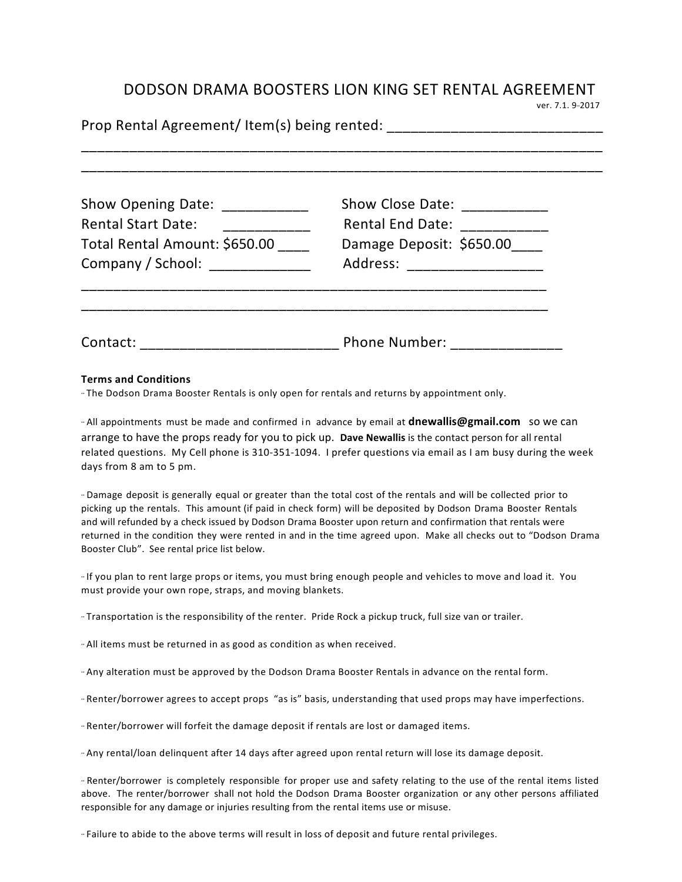## DODSON DRAMA BOOSTERS LION KING SET RENTAL AGREEMENT<br>
ver. 7.1. 9-2017

| Show Opening Date: ___________<br><b>Rental Start Date:</b><br>__________________<br>Total Rental Amount: \$650.00<br>Company / School: _____________ | Show Close Date: _____________<br>Rental End Date: ____________<br>Damage Deposit: \$650.00____<br>Address: _____________________ |  |  |  |  |
|-------------------------------------------------------------------------------------------------------------------------------------------------------|-----------------------------------------------------------------------------------------------------------------------------------|--|--|--|--|
|                                                                                                                                                       |                                                                                                                                   |  |  |  |  |

## **Terms and Conditions**

·· The Dodson Drama Booster Rentals is only open for rentals and returns by appointment only.

·· All appointments must be made and confirmed in advance by email at **dnewallis@gmail.com** so we can arrange to have the props ready for you to pick up. Dave Newallis is the contact person for all rental related questions. My Cell phone is 310-351-1094. I prefer questions via email as I am busy during the week days from 8 am to 5 pm.

·· Damage deposit is generally equal or greater than the total cost of the rentals and will be collected prior to picking up the rentals. This amount (if paid in check form) will be deposited by Dodson Drama Booster Rentals and will refunded by a check issued by Dodson Drama Booster upon return and confirmation that rentals were returned in the condition they were rented in and in the time agreed upon. Make all checks out to "Dodson Drama Booster Club". See rental price list below.

·· If you plan to rent large props or items, you must bring enough people and vehicles to move and load it. You must provide your own rope, straps, and moving blankets.

·· Transportation is the responsibility of the renter. Pride Rock a pickup truck, full size van or trailer. 

·· All items must be returned in as good as condition as when received. 

·· Any alteration must be approved by the Dodson Drama Booster Rentals in advance on the rental form.

·· Renter/borrower agrees to accept props "as is" basis, understanding that used props may have imperfections.

·· Renter/borrower will forfeit the damage deposit if rentals are lost or damaged items. 

·· Any rental/loan delinquent after 14 days after agreed upon rental return will lose its damage deposit. 

·· Renter/borrower is completely responsible for proper use and safety relating to the use of the rental items listed above. The renter/borrower shall not hold the Dodson Drama Booster organization or any other persons affiliated responsible for any damage or injuries resulting from the rental items use or misuse.

·· Failure to abide to the above terms will result in loss of deposit and future rental privileges.